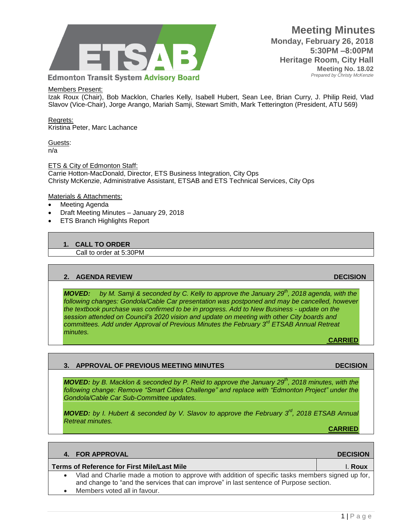

## **Meeting Minutes Monday, February 26, 2018 5:30PM –8:00PM Heritage Room, City Hall Meeting No. 18.02**  *Prepared by Christy McKenzie*

## Members Present:

Izak Roux (Chair), Bob Macklon, Charles Kelly, Isabell Hubert, Sean Lee, Brian Curry, J. Philip Reid, Vlad Slavov (Vice-Chair), Jorge Arango, Mariah Samji, Stewart Smith, Mark Tetterington (President, ATU 569)

Regrets: Kristina Peter, Marc Lachance

Guests: n/a

ETS & City of Edmonton Staff: Carrie Hotton-MacDonald, Director, ETS Business Integration, City Ops Christy McKenzie, Administrative Assistant, ETSAB and ETS Technical Services, City Ops

#### Materials & Attachments:

- Meeting Agenda
- Draft Meeting Minutes January 29, 2018
- ETS Branch Highlights Report

#### **1. CALL TO ORDER**

Call to order at 5:30PM

## **2. AGENDA REVIEW DECISION**

*MOVED: by M. Samji & seconded by C. Kelly to approve the January 29th, 2018 agenda, with the following changes: Gondola/Cable Car presentation was postponed and may be cancelled, however the textbook purchase was confirmed to be in progress. Add to New Business - update on the session attended on Council's 2020 vision and update on meeting with other City boards and committees. Add under Approval of Previous Minutes the February 3rd ETSAB Annual Retreat minutes.*

**CARRIED**

## *MOVED: by B. Macklon & seconded by P. Reid to approve the January 29th, 2018 minutes, with the following change: Remove "Smart Cities Challenge" and replace with "Edmonton Project" under the Gondola/Cable Car Sub-Committee updates.*

**3. APPROVAL OF PREVIOUS MEETING MINUTES DECISION** 

*MOVED: by I. Hubert & seconded by V. Slavov to approve the February 3rd, 2018 ETSAB Annual Retreat minutes.* **CARRIED**

| 4. FOR APPROVAL                                                                                                                                                                                                            | <b>DECISION</b> |
|----------------------------------------------------------------------------------------------------------------------------------------------------------------------------------------------------------------------------|-----------------|
| Terms of Reference for First Mile/Last Mile                                                                                                                                                                                | l. Roux         |
| Vlad and Charlie made a motion to approve with addition of specific tasks members signed up for,<br>and change to "and the services that can improve" in last sentence of Purpose section.<br>Members voted all in favour. |                 |
|                                                                                                                                                                                                                            |                 |

 $1 | P a g e$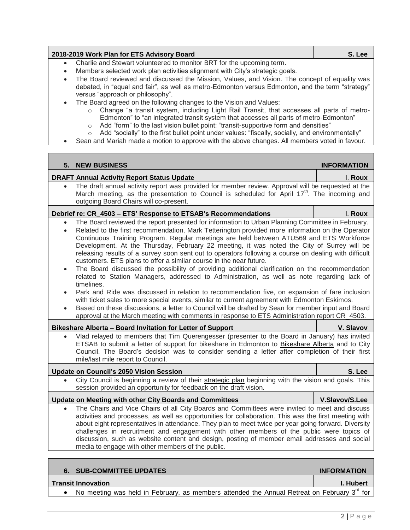| 2018-2019 Work Plan for ETS Advisory Board                            | S. Lee |
|-----------------------------------------------------------------------|--------|
| Charlie and Stewart volunteered to monitor BRT for the upcoming term. |        |

- Members selected work plan activities alignment with City's strategic goals.
- The Board reviewed and discussed the Mission, Values, and Vision. The concept of equality was debated, in "equal and fair", as well as metro-Edmonton versus Edmonton, and the term "strategy" versus "approach or philosophy".
- The Board agreed on the following changes to the Vision and Values:
	- o Change "a transit system, including Light Rail Transit, that accesses all parts of metro-Edmonton" to "an integrated transit system that accesses all parts of metro-Edmonton"
	- o Add "form" to the last vision bullet point: "transit-supportive form and densities"
	- $\circ$  Add "socially" to the first bullet point under values: "fiscally, socially, and environmentally"
- Sean and Mariah made a motion to approve with the above changes. All members voted in favour.

| 5.                                                      | <b>NEW BUSINESS</b>                                                                                                                                                                                                                                                                                                                                                                                                                                                                                                                                                                                                                                                                                                                                                                                                                                                                                                                                                                                                                                                                                                                                                                                    | <b>INFORMATION</b> |
|---------------------------------------------------------|--------------------------------------------------------------------------------------------------------------------------------------------------------------------------------------------------------------------------------------------------------------------------------------------------------------------------------------------------------------------------------------------------------------------------------------------------------------------------------------------------------------------------------------------------------------------------------------------------------------------------------------------------------------------------------------------------------------------------------------------------------------------------------------------------------------------------------------------------------------------------------------------------------------------------------------------------------------------------------------------------------------------------------------------------------------------------------------------------------------------------------------------------------------------------------------------------------|--------------------|
|                                                         | <b>DRAFT Annual Activity Report Status Update</b>                                                                                                                                                                                                                                                                                                                                                                                                                                                                                                                                                                                                                                                                                                                                                                                                                                                                                                                                                                                                                                                                                                                                                      | I. Roux            |
| $\bullet$                                               | The draft annual activity report was provided for member review. Approval will be requested at the<br>March meeting, as the presentation to Council is scheduled for April 17 <sup>th</sup> . The incoming and<br>outgoing Board Chairs will co-present.                                                                                                                                                                                                                                                                                                                                                                                                                                                                                                                                                                                                                                                                                                                                                                                                                                                                                                                                               |                    |
|                                                         | Debrief re: CR_4503 - ETS' Response to ETSAB's Recommendations                                                                                                                                                                                                                                                                                                                                                                                                                                                                                                                                                                                                                                                                                                                                                                                                                                                                                                                                                                                                                                                                                                                                         | I. Roux            |
| $\bullet$<br>$\bullet$<br>$\bullet$                     | The Board reviewed the report presented for information to Urban Planning Committee in February.<br>Related to the first recommendation, Mark Tetterington provided more information on the Operator<br>Continuous Training Program. Regular meetings are held between ATU569 and ETS Workforce<br>Development. At the Thursday, February 22 meeting, it was noted the City of Surrey will be<br>releasing results of a survey soon sent out to operators following a course on dealing with difficult<br>customers. ETS plans to offer a similar course in the near future.<br>The Board discussed the possibility of providing additional clarification on the recommendation<br>related to Station Managers, addressed to Administration, as well as note regarding lack of<br>timelines.<br>Park and Ride was discussed in relation to recommendation five, on expansion of fare inclusion<br>with ticket sales to more special events, similar to current agreement with Edmonton Eskimos.<br>Based on these discussions, a letter to Council will be drafted by Sean for member input and Board<br>approval at the March meeting with comments in response to ETS Administration report CR_4503. |                    |
|                                                         | Bikeshare Alberta - Board Invitation for Letter of Support                                                                                                                                                                                                                                                                                                                                                                                                                                                                                                                                                                                                                                                                                                                                                                                                                                                                                                                                                                                                                                                                                                                                             | V. Slavov          |
|                                                         | Vlad relayed to members that Tim Querengesser (presenter to the Board in January) has invited<br>ETSAB to submit a letter of support for bikeshare in Edmonton to Bikeshare Alberta and to City<br>Council. The Board's decision was to consider sending a letter after completion of their first<br>mile/last mile report to Council.                                                                                                                                                                                                                                                                                                                                                                                                                                                                                                                                                                                                                                                                                                                                                                                                                                                                 |                    |
|                                                         | <b>Update on Council's 2050 Vision Session</b>                                                                                                                                                                                                                                                                                                                                                                                                                                                                                                                                                                                                                                                                                                                                                                                                                                                                                                                                                                                                                                                                                                                                                         | S. Lee             |
|                                                         | City Council is beginning a review of their strategic plan beginning with the vision and goals. This<br>session provided an opportunity for feedback on the draft vision.                                                                                                                                                                                                                                                                                                                                                                                                                                                                                                                                                                                                                                                                                                                                                                                                                                                                                                                                                                                                                              |                    |
| Update on Meeting with other City Boards and Committees |                                                                                                                                                                                                                                                                                                                                                                                                                                                                                                                                                                                                                                                                                                                                                                                                                                                                                                                                                                                                                                                                                                                                                                                                        | V.Slavov/S.Lee     |
|                                                         | The Chairs and Vice Chairs of all City Boards and Committees were invited to meet and discuss<br>activities and processes, as well as opportunities for collaboration. This was the first meeting with<br>about eight representatives in attendance. They plan to meet twice per year going forward. Diversity<br>challenges in recruitment and engagement with other members of the public were topics of<br>discussion, such as website content and design, posting of member email addresses and social<br>media to engage with other members of the public.                                                                                                                                                                                                                                                                                                                                                                                                                                                                                                                                                                                                                                        |                    |
|                                                         |                                                                                                                                                                                                                                                                                                                                                                                                                                                                                                                                                                                                                                                                                                                                                                                                                                                                                                                                                                                                                                                                                                                                                                                                        |                    |

| <b>SUB-COMMITTEE UPDATES</b>                                                                            | <b>INFORMATION</b> |
|---------------------------------------------------------------------------------------------------------|--------------------|
| <b>Transit Innovation</b>                                                                               | <b>I. Hubert</b>   |
| No meeting was held in February, as members attended the Annual Retreat on February 3 <sup>rd</sup> for |                    |